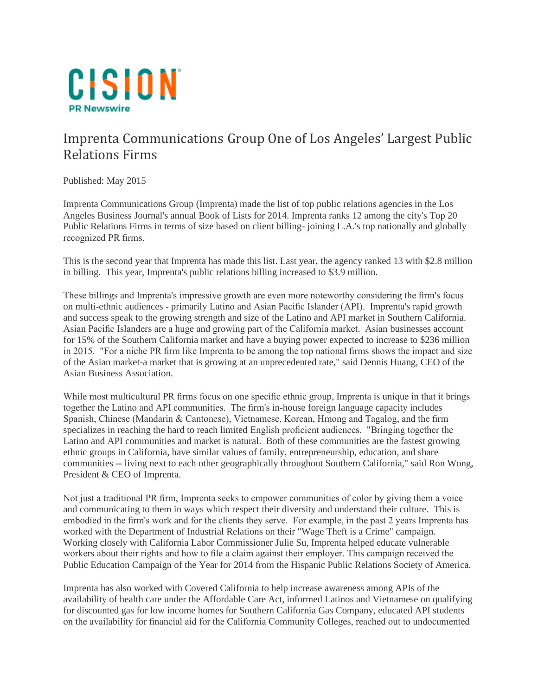

## Imprenta Communications Group One of Los Angeles' Largest Public Relations Firms

Published: May 2015

Imprenta Communications Group (Imprenta) made the list of top public relations agencies in the Los Angeles Business Journal's annual Book of Lists for 2014. Imprenta ranks 12 among the city's Top 20 Public Relations Firms in terms of size based on client billing- joining L.A.'s top nationally and globally recognized PR firms.

This is the second year that Imprenta has made this list. Last year, the agency ranked 13 with \$2.8 million in billing. This year, Imprenta's public relations billing increased to \$3.9 million.

These billings and Imprenta's impressive growth are even more noteworthy considering the firm's focus on multi-ethnic audiences - primarily Latino and Asian Pacific Islander (API). Imprenta's rapid growth and success speak to the growing strength and size of the Latino and API market in Southern California. Asian Pacific Islanders are a huge and growing part of the California market. Asian businesses account for 15% of the Southern California market and have a buying power expected to increase to \$236 million in 2015. "For a niche PR firm like Imprenta to be among the top national firms shows the impact and size of the Asian market-a market that is growing at an unprecedented rate," said Dennis Huang, CEO of the Asian Business Association.

While most multicultural PR firms focus on one specific ethnic group, Imprenta is unique in that it brings together the Latino and API communities. The firm's in-house foreign language capacity includes Spanish, Chinese (Mandarin & Cantonese), Vietnamese, Korean, Hmong and Tagalog, and the firm specializes in reaching the hard to reach limited English proficient audiences. "Bringing together the Latino and API communities and market is natural. Both of these communities are the fastest growing ethnic groups in California, have similar values of family, entrepreneurship, education, and share communities -- living next to each other geographically throughout Southern California," said Ron Wong, President & CEO of Imprenta.

Not just a traditional PR firm, Imprenta seeks to empower communities of color by giving them a voice and communicating to them in ways which respect their diversity and understand their culture. This is embodied in the firm's work and for the clients they serve. For example, in the past 2 years Imprenta has worked with the Department of Industrial Relations on their "Wage Theft is a Crime" campaign. Working closely with California Labor Commissioner Julie Su, Imprenta helped educate vulnerable workers about their rights and how to file a claim against their employer. This campaign received the Public Education Campaign of the Year for 2014 from the Hispanic Public Relations Society of America.

Imprenta has also worked with Covered California to help increase awareness among APIs of the availability of health care under the Affordable Care Act, informed Latinos and Vietnamese on qualifying for discounted gas for low income homes for Southern California Gas Company, educated API students on the availability for financial aid for the California Community Colleges, reached out to undocumented